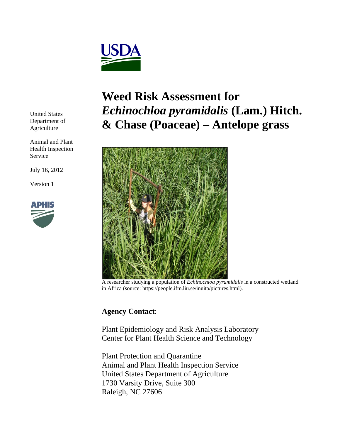

United States Department of Agriculture

Animal and Plant Health Inspection Service

July 16, 2012

Version 1



# **Weed Risk Assessment for**  *Echinochloa pyramidalis* **(Lam.) Hitch. & Chase (Poaceae) – Antelope grass**



A researcher studying a population of *Echinochloa pyramidalis* in a constructed wetland in Africa (source: https://people.ifm.liu.se/inuita/pictures.html).

## **Agency Contact**:

Plant Epidemiology and Risk Analysis Laboratory Center for Plant Health Science and Technology

Plant Protection and Quarantine Animal and Plant Health Inspection Service United States Department of Agriculture 1730 Varsity Drive, Suite 300 Raleigh, NC 27606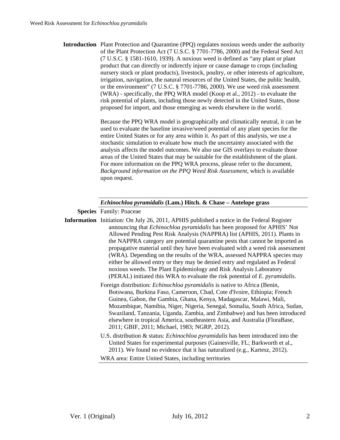| <b>Introduction</b> Plant Protection and Quarantine (PPQ) regulates noxious weeds under the authority |
|-------------------------------------------------------------------------------------------------------|
| of the Plant Protection Act (7 U.S.C. § 7701-7786, 2000) and the Federal Seed Act                     |
| $(7 \text{ U.S.C. } § 1581-1610, 1939)$ . A noxious weed is defined as "any plant or plant"           |
| product that can directly or indirectly injure or cause damage to crops (including                    |
| nursery stock or plant products), livestock, poultry, or other interests of agriculture,              |
| irrigation, navigation, the natural resources of the United States, the public health,                |
| or the environment" (7 U.S.C. § 7701-7786, 2000). We use weed risk assessment                         |
| (WRA) - specifically, the PPQ WRA model (Koop et al., 2012) - to evaluate the                         |
| risk potential of plants, including those newly detected in the United States, those                  |
| proposed for import, and those emerging as weeds elsewhere in the world.                              |

Because the PPQ WRA model is geographically and climatically neutral, it can be used to evaluate the baseline invasive/weed potential of any plant species for the entire United States or for any area within it. As part of this analysis, we use a stochastic simulation to evaluate how much the uncertainty associated with the analysis affects the model outcomes. We also use GIS overlays to evaluate those areas of the United States that may be suitable for the establishment of the plant. For more information on the PPQ WRA process, please refer to the document, *Background information on the PPQ Weed Risk Assessment*, which is available upon request.

### *Echinochloa pyramidalis* **(Lam.) Hitch. & Chase – Antelope grass**

**Species** Family: Poaceae

- **Information** Initiation: On July 26, 2011, APHIS published a notice in the Federal Register announcing that *Echinochloa pyramidalis* has been proposed for APHIS' Not Allowed Pending Pest Risk Analysis (NAPPRA) list (APHIS, 2011). Plants in the NAPPRA category are potential quarantine pests that cannot be imported as propagative material until they have been evaluated with a weed risk assessment (WRA). Depending on the results of the WRA, assessed NAPPRA species may either be allowed entry or they may be denied entry and regulated as Federal noxious weeds. The Plant Epidemiology and Risk Analysis Laboratory (PERAL) initiated this WRA to evaluate the risk potential of *E. pyramidalis*.
	- Foreign distribution: *Echinochloa pyramidalis* is native to Africa (Benin, Botswana, Burkina Faso, Cameroon, Chad, Cote d'Ivoire, Ethiopia; French Guinea, Gabon, the Gambia, Ghana, Kenya, Madagascar, Malawi, Mali, Mozambique, Namibia, Niger, Nigeria, Senegal, Somalia, South Africa, Sudan, Swaziland, Tanzania, Uganda, Zambia, and Zimbabwe) and has been introduced elsewhere in tropical America, southeastern Asia, and Australia (FloraBase, 2011; GBIF, 2011; Michael, 1983; NGRP, 2012).
	- U.S. distribution & status: *Echinochloa pyramidalis* has been introduced into the United States for experimental purposes (Gainesville, FL; Barkworth et al., 2011). We found no evidence that it has naturalized (e.g., Kartesz, 2012).

WRA area: Entire United States, including territories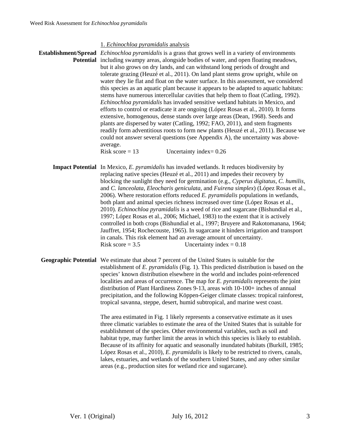### 1. *Echinochloa pyramidalis* analysis

**Establishment/Spread**  *Echinochloa pyramidalis* is a grass that grows well in a variety of environments Potential including swampy areas, alongside bodies of water, and open floating meadows, but it also grows on dry lands, and can withstand long periods of drought and tolerate grazing (Heuzé et al., 2011). On land plant stems grow upright, while on water they lie flat and float on the water surface. In this assessment, we considered this species as an aquatic plant because it appears to be adapted to aquatic habitats: stems have numerous intercellular cavities that help them to float (Catling, 1992). *Echinochloa pyramidalis* has invaded sensitive wetland habitats in Mexico, and efforts to control or eradicate it are ongoing (López Rosas et al., 2010). It forms extensive, homogenous, dense stands over large areas (Dean, 1968). Seeds and plants are dispersed by water (Catling, 1992; FAO, 2011), and stem fragments readily form adventitious roots to form new plants (Heuzé et al., 2011). Because we could not answer several questions (see Appendix A), the uncertainty was aboveaverage. Risk score  $= 13$  Uncertainty index $= 0.26$ 

**Impact Potential** In Mexico, *E. pyramidalis* has invaded wetlands. It reduces biodiversity by replacing native species (Heuzé et al., 2011) and impedes their recovery by blocking the sunlight they need for germination (e.g., *Cyperus digitatus, C. humilis,*  and *C. lanceolata, Eleocharis geniculata,* and *Fuirena simplex*) (López Rosas et al., 2006). Where restoration efforts reduced *E. pyramidalis* populations in wetlands, both plant and animal species richness increased over time (López Rosas et al., 2010). *Echinochloa pyramidalis* is a weed of rice and sugarcane (Bishundial et al., 1997; López Rosas et al., 2006; Michael, 1983) to the extent that it is actively controlled in both crops (Bishundial et al., 1997; Bruyere and Rakotomanana, 1964; Jauffret, 1954; Rochecouste, 1965). In sugarcane it hinders irrigation and transport in canals. This risk element had an average amount of uncertainty. Risk score  $= 3.5$  Uncertainty index  $= 0.18$ 

**Geographic Potential** We estimate that about 7 percent of the United States is suitable for the establishment of *E. pyramidalis* (Fig. 1). This predicted distribution is based on the species' known distribution elsewhere in the world and includes point-referenced localities and areas of occurrence. The map for *E. pyramidalis* represents the joint distribution of Plant Hardiness Zones 9-13, areas with 10-100+ inches of annual precipitation, and the following Köppen-Geiger climate classes: tropical rainforest, tropical savanna, steppe, desert, humid subtropical, and marine west coast.

> The area estimated in Fig. 1 likely represents a conservative estimate as it uses three climatic variables to estimate the area of the United States that is suitable for establishment of the species. Other environmental variables, such as soil and habitat type, may further limit the areas in which this species is likely to establish. Because of its affinity for aquatic and seasonally inundated habitats (Burkill, 1985; López Rosas et al., 2010), *E. pyramidalis* is likely to be restricted to rivers, canals, lakes, estuaries, and wetlands of the southern United States, and any other similar areas (e.g., production sites for wetland rice and sugarcane).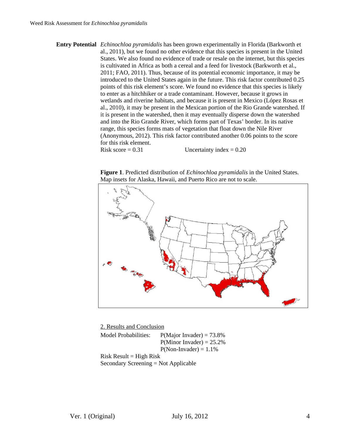**Entry Potential** *Echinochloa pyramidalis* has been grown experimentally in Florida (Barkworth et al., 2011), but we found no other evidence that this species is present in the United States. We also found no evidence of trade or resale on the internet, but this species is cultivated in Africa as both a cereal and a feed for livestock (Barkworth et al., 2011; FAO, 2011). Thus, because of its potential economic importance, it may be introduced to the United States again in the future. This risk factor contributed 0.25 points of this risk element's score. We found no evidence that this species is likely to enter as a hitchhiker or a trade contaminant. However, because it grows in wetlands and riverine habitats, and because it is present in Mexico (López Rosas et al., 2010), it may be present in the Mexican portion of the Rio Grande watershed. If it is present in the watershed, then it may eventually disperse down the watershed and into the Rio Grande River, which forms part of Texas' border. In its native range, this species forms mats of vegetation that float down the Nile River (Anonymous, 2012). This risk factor contributed another 0.06 points to the score for this risk element.

Risk score  $= 0.31$  Uncertainty index  $= 0.20$ 

**Figure 1**. Predicted distribution of *Echinochloa pyramidalis* in the United States. Map insets for Alaska, Hawaii, and Puerto Rico are not to scale.



 2. Results and Conclusion Model Probabilities:  $P(Major\ Invaler) = 73.8\%$  $P(Minor Invader) = 25.2%$  $P(Non- Invader) = 1.1\%$  $Risk$  Result = High Risk Secondary Screening = Not Applicable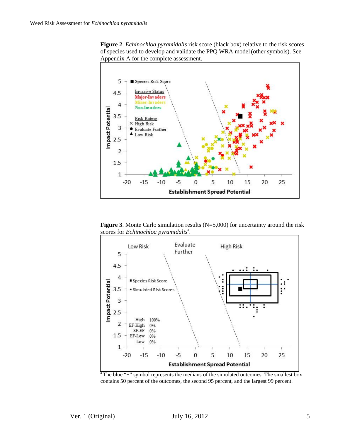



**Figure 3**. Monte Carlo simulation results (N=5,000) for uncertainty around the risk scores for *Echinochloa pyramidalis<sup>a</sup>*.



<sup>a</sup> The blue "+" symbol represents the medians of the simulated outcomes. The smallest box contains 50 percent of the outcomes, the second 95 percent, and the largest 99 percent.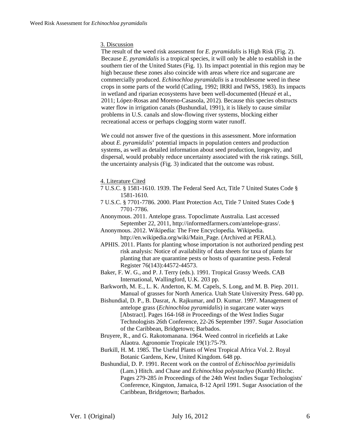#### 3. Discussion

The result of the weed risk assessment for *E. pyramidalis* is High Risk (Fig. 2). Because *E. pyramidalis* is a tropical species, it will only be able to establish in the southern tier of the United States (Fig. 1). Its impact potential in this region may be high because these zones also coincide with areas where rice and sugarcane are commercially produced. *Echinochloa pyramidalis* is a troublesome weed in these crops in some parts of the world (Catling, 1992; IRRI and IWSS, 1983). Its impacts in wetland and riparian ecosystems have been well-documented (Heuzé et al., 2011; López-Rosas and Moreno-Casasola, 2012). Because this species obstructs water flow in irrigation canals (Bushundial, 1991), it is likely to cause similar problems in U.S. canals and slow-flowing river systems, blocking either recreational access or perhaps clogging storm water runoff.

We could not answer five of the questions in this assessment. More information about *E. pyramidalis*' potential impacts in population centers and production systems, as well as detailed information about seed production, longevity, and dispersal, would probably reduce uncertainty associated with the risk ratings. Still, the uncertainty analysis (Fig. 3) indicated that the outcome was robust.

4. Literature Cited

- 7 U.S.C. § 1581-1610. 1939. The Federal Seed Act, Title 7 United States Code § 1581-1610.
- 7 U.S.C. § 7701-7786. 2000. Plant Protection Act, Title 7 United States Code § 7701-7786.
- Anonymous. 2011. Antelope grass. Topoclimate Australia. Last accessed September 22, 2011, http://informedfarmers.com/antelope-grass/.
- Anonymous. 2012. Wikipedia: The Free Encyclopedia. Wikipedia. http://en.wikipedia.org/wiki/Main\_Page. (Archived at PERAL).
- APHIS. 2011. Plants for planting whose importation is not authorized pending pest risk analysis: Notice of availability of data sheets for taxa of plants for planting that are quarantine pests or hosts of quarantine pests. Federal Register 76(143):44572-44573.
- Baker, F. W. G., and P. J. Terry (eds.). 1991. Tropical Grassy Weeds. CAB International, Wallingford, U.K. 203 pp.
- Barkworth, M. E., L. K. Anderton, K. M. Capels, S. Long, and M. B. Piep. 2011. Manual of grasses for North America. Utah State University Press. 640 pp.
- Bishundial, D. P., B. Dasrat, A. Rajkumar, and D. Kumar. 1997. Management of antelope grass (*Echinochloa pyramidalis*) in sugarcane water ways [Abstract]. Pages 164-168 *in* Proceedings of the West Indies Sugar Technologists 26th Conference, 22-26 September 1997. Sugar Association of the Caribbean, Bridgetown; Barbados.
- Bruyere, R., and G. Rakotomanana. 1964. Weed control in ricefields at Lake Alaotra. Agronomie Tropicale 19(1):75-79.
- Burkill, H. M. 1985. The Useful Plants of West Tropical Africa Vol. 2. Royal Botanic Gardens, Kew, United Kingdom. 648 pp.
- Bushundial, D. P. 1991. Recent work on the control of *Echinochloa pyrimidalis* (Lam.) Hitch. and Chase and *Echinochloa polystachya* (Kunth) Hitchc. Pages 279-285 *in* Proceedings of the 24th West Indies Sugar Techologists' Conference, Kingston, Jamaica, 8-12 April 1991. Sugar Association of the Caribbean, Bridgetown; Barbados.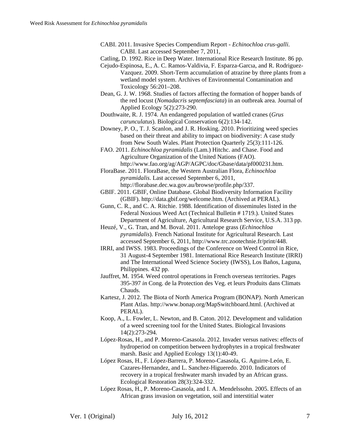- CABI. 2011. Invasive Species Compendium Report - *Echinochloa crus-galli*. CABI. Last accessed September 7, 2011,
- Catling, D. 1992. Rice in Deep Water. International Rice Research Institute. 86 pp.
- Cejudo-Espinosa, E., A. C. Ramos-Valdivia, F. Esparza-Garcıa, and R. Rodriguez-Vazquez. 2009. Short-Term accumulation of atrazine by three plants from a wetland model system. Archives of Environmental Contamination and Toxicology 56:201–208.
- Dean, G. J. W. 1968. Studies of factors affecting the formation of hopper bands of the red locust (*Nomadacris septemfasciata*) in an outbreak area. Journal of Applied Ecology 5(2):273-290.
- Douthwaite, R. J. 1974. An endangered population of wattled cranes (*Grus carunculatus*). Biological Conservation 6(2):134-142.
- Downey, P. O., T. J. Scanlon, and J. R. Hosking. 2010. Prioritizing weed species based on their threat and ability to impact on biodiversity: A case study from New South Wales. Plant Protection Quarterly 25(3):111-126.
- FAO. 2011. *Echinochloa pyramidalis* (Lam.) Hitchc. and Chase. Food and Agriculture Organization of the United Nations (FAO). http://www.fao.org/ag/AGP/AGPC/doc/Gbase/data/pf000231.htm.

FloraBase. 2011. FloraBase, the Western Australian Flora, *Echinochloa pyramidalis*. Last accessed September 6, 2011, http://florabase.dec.wa.gov.au/browse/profile.php/337.

- GBIF. 2011. GBIF, Online Database. Global Biodiversity Information Facility (GBIF). http://data.gbif.org/welcome.htm. (Archived at PERAL).
- Gunn, C. R., and C. A. Ritchie. 1988. Identification of disseminules listed in the Federal Noxious Weed Act (Technical Bulletin # 1719.). United States Department of Agriculture, Agricultural Research Service, U.S.A. 313 pp.
- Heuzé, V., G. Tran, and M. Boval. 2011. Antelope grass (*Echinochloa pyramidalis*). French National Institute for Agricultural Research. Last accessed September 6, 2011, http://www.trc.zootechnie.fr/print/448.
- IRRI, and IWSS. 1983. Proceedings of the Conference on Weed Control in Rice, 31 August-4 September 1981. International Rice Research Institute (IRRI) and The International Weed Science Society (IWSS), Los Baños, Laguna, Philippines. 432 pp.
- Jauffret, M. 1954. Weed control operations in French overseas territories. Pages 395-397 *in* Cong. de la Protection des Veg. et leurs Produits dans Climats Chauds.
- Kartesz, J. 2012. The Biota of North America Program (BONAP). North American Plant Atlas. http://www.bonap.org/MapSwitchboard.html. (Archived at PERAL).
- Koop, A., L. Fowler, L. Newton, and B. Caton. 2012. Development and validation of a weed screening tool for the United States. Biological Invasions 14(2):273-294.
- López-Rosas, H., and P. Moreno-Casasola. 2012. Invader versus natives: effects of hydroperiod on competition between hydrophytes in a tropical freshwater marsh. Basic and Applied Ecology 13(1):40-49.
- López Rosas, H., F. López-Barrera, P. Moreno-Casasola, G. Aguirre-León, E. Cazares-Hernandez, and L. Sanchez-Higueredo. 2010. Indicators of recovery in a tropical freshwater marsh invaded by an African grass. Ecological Restoration 28(3):324-332.
- López Rosas, H., P. Moreno-Casasola, and I. A. Mendelssohn. 2005. Effects of an African grass invasion on vegetation, soil and interstitial water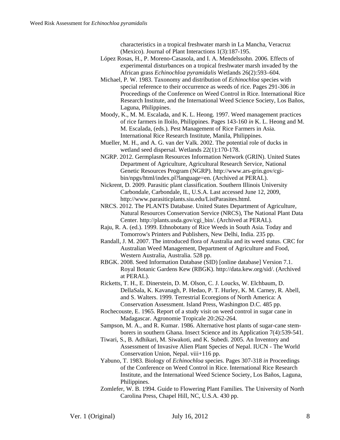characteristics in a tropical freshwater marsh in La Mancha, Veracruz (Mexico). Journal of Plant Interactions 1(3):187-195.

- López Rosas, H., P. Moreno-Casasola, and I. A. Mendelssohn. 2006. Effects of experimental disturbances on a tropical freshwater marsh invaded by the African grass *Echinochloa pyramidalis* Wetlands 26(2):593–604.
- Michael, P. W. 1983. Taxonomy and distribution of *Echinochloa* species with special reference to their occurrence as weeds of rice. Pages 291-306 *in*  Proceedings of the Conference on Weed Control in Rice. International Rice Research Institute, and the International Weed Science Society, Los Baños, Laguna, Philippines.
- Moody, K., M. M. Escalada, and K. L. Heong. 1997. Weed management practices of rice farmers in Iloilo, Philippines. Pages 143-160 *in* K. L. Heong and M. M. Escalada, (eds.). Pest Management of Rice Farmers in Asia. International Rice Research Institute, Manila, Philippines.
- Mueller, M. H., and A. G. van der Valk. 2002. The potential role of ducks in wetland seed dispersal. Wetlands 22(1):170-178.
- NGRP. 2012. Germplasm Resources Information Network (GRIN). United States Department of Agriculture, Agricultural Research Service, National Genetic Resources Program (NGRP). http://www.ars-grin.gov/cgibin/npgs/html/index.pl?language=en. (Archived at PERAL).
- Nickrent, D. 2009. Parasitic plant classification. Southern Illinois University Carbondale, Carbondale, IL, U.S.A. Last accessed June 12, 2009, http://www.parasiticplants.siu.edu/ListParasites.html.
- NRCS. 2012. The PLANTS Database. United States Department of Agriculture, Natural Resources Conservation Service (NRCS), The National Plant Data Center. http://plants.usda.gov/cgi\_bin/. (Archived at PERAL).
- Raju, R. A. (ed.). 1999. Ethnobotany of Rice Weeds in South Asia. Today and Tomorrow's Printers and Publishers, New Delhi, India. 235 pp.
- Randall, J. M. 2007. The introduced flora of Australia and its weed status. CRC for Australian Weed Management, Department of Agriculture and Food, Western Australia, Australia. 528 pp.
- RBGK. 2008. Seed Information Database (SID) [online database] Version 7.1. Royal Botanic Gardens Kew (RBGK). http://data.kew.org/sid/. (Archived at PERAL).
- Ricketts, T. H., E. Dinerstein, D. M. Olson, C. J. Loucks, W. Elchbaum, D. DellaSala, K. Kavanagh, P. Hedao, P. T. Hurley, K. M. Carney, R. Abell, and S. Walters. 1999. Terrestrial Ecoregions of North America: A Conservation Assessment. Island Press, Washington D.C. 485 pp.
- Rochecouste, E. 1965. Report of a study visit on weed control in sugar cane in Madagascar. Agronomie Tropicale 20:262-264.
- Sampson, M. A., and R. Kumar. 1986. Alternative host plants of sugar-cane stemborers in southern Ghana. Insect Science and its Application 7(4):539-541.
- Tiwari, S., B. Adhikari, M. Siwakoti, and K. Subedi. 2005. An Inventory and Assessment of Invasive Alien Plant Species of Nepal. IUCN - The World Conservation Union, Nepal. viii+116 pp.
- Yabuno, T. 1983. Biology of *Echinochloa* species. Pages 307-318 *in* Proceedings of the Conference on Weed Control in Rice. International Rice Research Institute, and the International Weed Science Society, Los Baños, Laguna, Philippines.
- Zomlefer, W. B. 1994. Guide to Flowering Plant Families. The University of North Carolina Press, Chapel Hill, NC, U.S.A. 430 pp.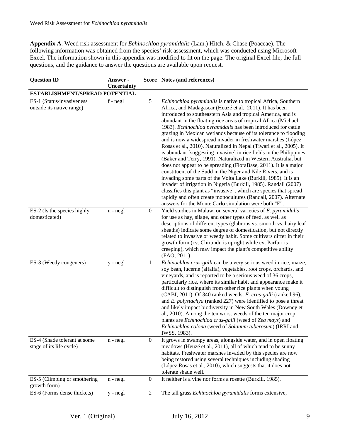**Appendix A**. Weed risk assessment for *Echinochloa pyramidalis* (Lam.) Hitch. & Chase (Poaceae). The following information was obtained from the species' risk assessment, which was conducted using Microsoft Excel. The information shown in this appendix was modified to fit on the page. The original Excel file, the full questions, and the guidance to answer the questions are available upon request.

| <b>Question ID</b>                                       | Answer -<br>Uncertainty |                  | Score Notes (and references)                                                                                                                                                                                                                                                                                                                                                                                                                                                                                                                                                                                                                                                                                                                                                                                                                                                                                                                                                                                                                                                                                                                                      |  |  |
|----------------------------------------------------------|-------------------------|------------------|-------------------------------------------------------------------------------------------------------------------------------------------------------------------------------------------------------------------------------------------------------------------------------------------------------------------------------------------------------------------------------------------------------------------------------------------------------------------------------------------------------------------------------------------------------------------------------------------------------------------------------------------------------------------------------------------------------------------------------------------------------------------------------------------------------------------------------------------------------------------------------------------------------------------------------------------------------------------------------------------------------------------------------------------------------------------------------------------------------------------------------------------------------------------|--|--|
| ESTABLISHMENT/SPREAD POTENTIAL                           |                         |                  |                                                                                                                                                                                                                                                                                                                                                                                                                                                                                                                                                                                                                                                                                                                                                                                                                                                                                                                                                                                                                                                                                                                                                                   |  |  |
| ES-1 (Status/invasiveness<br>outside its native range)   | f - negl                | 5                | Echinochloa pyramidalis is native to tropical Africa, Southern<br>Africa, and Madagascar (Heuzé et al., 2011). It has been<br>introduced to southeastern Asia and tropical America, and is<br>abundant in the floating rice areas of tropical Africa (Michael,<br>1983). Echinochloa pyramidalis has been introduced for cattle<br>grazing in Mexican wetlands because of its tolerance to flooding<br>and is now a widespread invader in freshwater marshes (López<br>Rosas et al., 2010). Naturalized in Nepal (Tiwari et al., 2005). It<br>is abundant [suggesting invasive] in rice fields in the Philippines<br>(Baker and Terry, 1991). Naturalized in Western Australia, but<br>does not appear to be spreading (FloraBase, 2011). It is a major<br>constituent of the Sudd in the Niger and Nile Rivers, and is<br>invading some parts of the Volta Lake (Burkill, 1985). It is an<br>invader of irrigation in Nigeria (Burkill, 1985). Randall (2007)<br>classifies this plant as "invasive", which are species that spread<br>rapidly and often create monocultures (Randall, 2007). Alternate<br>answers for the Monte Carlo simulation were both "E". |  |  |
| ES-2 (Is the species highly<br>domesticated)             | $n - negl$              | $\boldsymbol{0}$ | Yield studies in Malawi on several varieties of E. pyramidalis<br>for use as hay, silage, and other types of feed, as well as<br>descriptions of different types (glabrous vs. smooth vs. hairy leaf<br>sheaths) indicate some degree of domestication, but not directly<br>related to invasive or weedy habit. Some cultivars differ in their<br>growth form (cv. Chirundu is upright while cv. Parfuri is<br>creeping), which may impact the plant's competitive ability<br>(FAO, 2011).                                                                                                                                                                                                                                                                                                                                                                                                                                                                                                                                                                                                                                                                        |  |  |
| ES-3 (Weedy congeners)                                   | y - negl                | $\mathbf{1}$     | Echinochloa crus-galli can be a very serious weed in rice, maize,<br>soy bean, lucerne (alfalfa), vegetables, root crops, orchards, and<br>vineyards, and is reported to be a serious weed of 36 crops,<br>particularly rice, where its similar habit and appearance make it<br>difficult to distinguish from other rice plants when young<br>(CABI, 2011). Of 340 ranked weeds, E. crus-galli (ranked 96),<br>and $E$ . polystachya (ranked 227) were identified to pose a threat<br>and likely impact biodiversity in New South Wales (Downey et<br>al., 2010). Among the ten worst weeds of the ten major crop<br>plants are Echinochloa crus-galli (weed of Zea mays) and<br>Echinochloa colona (weed of Solanum tuberosum) (IRRI and<br>IWSS, 1983).                                                                                                                                                                                                                                                                                                                                                                                                         |  |  |
| ES-4 (Shade tolerant at some<br>stage of its life cycle) | $n - negl$              | $\overline{0}$   | It grows in swampy areas, alongside water, and in open floating<br>meadows (Heuzé et al., 2011), all of which tend to be sunny<br>habitats. Freshwater marshes invaded by this species are now<br>being restored using several techniques including shading<br>(López Rosas et al., 2010), which suggests that it does not<br>tolerate shade well.                                                                                                                                                                                                                                                                                                                                                                                                                                                                                                                                                                                                                                                                                                                                                                                                                |  |  |
| ES-5 (Climbing or smothering<br>growth form)             | $n - negl$              | $\boldsymbol{0}$ | It neither is a vine nor forms a rosette (Burkill, 1985).                                                                                                                                                                                                                                                                                                                                                                                                                                                                                                                                                                                                                                                                                                                                                                                                                                                                                                                                                                                                                                                                                                         |  |  |
| ES-6 (Forms dense thickets)                              | y - negl                | $\overline{2}$   | The tall grass Echinochloa pyramidalis forms extensive,                                                                                                                                                                                                                                                                                                                                                                                                                                                                                                                                                                                                                                                                                                                                                                                                                                                                                                                                                                                                                                                                                                           |  |  |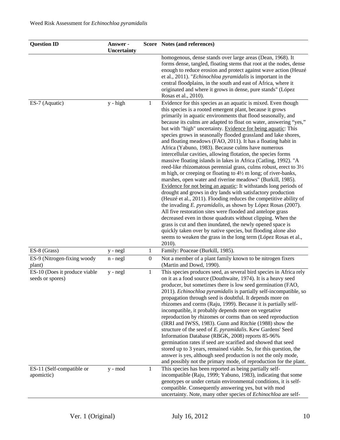| <b>Question ID</b>                                | Answer -<br>Uncertainty |                  | Score Notes (and references)                                                                                                                                                                                                                                                                                                                                                                                                                                                                                                                                                                                                                                                                                                                                                                                                                                                                                                                                                                                                                                                                                                                                                                                                                                                                                                                                                                                                                                                             |
|---------------------------------------------------|-------------------------|------------------|------------------------------------------------------------------------------------------------------------------------------------------------------------------------------------------------------------------------------------------------------------------------------------------------------------------------------------------------------------------------------------------------------------------------------------------------------------------------------------------------------------------------------------------------------------------------------------------------------------------------------------------------------------------------------------------------------------------------------------------------------------------------------------------------------------------------------------------------------------------------------------------------------------------------------------------------------------------------------------------------------------------------------------------------------------------------------------------------------------------------------------------------------------------------------------------------------------------------------------------------------------------------------------------------------------------------------------------------------------------------------------------------------------------------------------------------------------------------------------------|
|                                                   |                         |                  | homogenous, dense stands over large areas (Dean, 1968). It<br>forms dense, tangled, floating stems that root at the nodes, dense<br>enough to reduce erosion and protect against wave action (Heuzé<br>et al., 2011). "Echinochloa pyramidalis is important in the<br>central floodplains, in the south and east of Africa, where it<br>originated and where it grows in dense, pure stands" (López<br>Rosas et al., 2010).                                                                                                                                                                                                                                                                                                                                                                                                                                                                                                                                                                                                                                                                                                                                                                                                                                                                                                                                                                                                                                                              |
| ES-7 (Aquatic)                                    | $y - high$              | $\mathbf{1}$     | Evidence for this species as an aquatic is mixed. Even though<br>this species is a rooted emergent plant, because it grows<br>primarily in aquatic environments that flood seasonally, and<br>because its culms are adapted to float on water, answering "yes,"<br>but with "high" uncertainty. Evidence for being aquatic: This<br>species grows in seasonally flooded grassland and lake shores,<br>and floating meadows (FAO, 2011). It has a floating habit in<br>Africa (Yabuno, 1983). Because culms have numerous<br>intercellular cavities, allowing flotation, the species forms<br>massive floating islands in lakes in Africa (Catling, 1992). "A<br>reed-like rhizomatous perennial grass, culms robust, erect to 3½<br>m high, or creeping or floating to 4½ m long; of river-banks,<br>marshes, open water and riverine meadows" (Burkill, 1985).<br>Evidence for not being an aquatic: It withstands long periods of<br>drought and grows in dry lands with satisfactory production<br>(Heuzé et al., 2011). Flooding reduces the competitive ability of<br>the invading <i>E. pyramidalis</i> , as shown by López Rosas (2007).<br>All five restoration sites were flooded and antelope grass<br>decreased even in those quadrats without clipping. When the<br>grass is cut and then inundated, the newly opened space is<br>quickly taken over by native species, but flooding alone also<br>seems to weaken the grass in the long term (López Rosas et al.,<br>2010). |
| ES-8 (Grass)                                      | y - negl                | 1                | Family: Poaceae (Burkill, 1985).                                                                                                                                                                                                                                                                                                                                                                                                                                                                                                                                                                                                                                                                                                                                                                                                                                                                                                                                                                                                                                                                                                                                                                                                                                                                                                                                                                                                                                                         |
| ES-9 (Nitrogen-fixing woody<br>plant)             | $n - negl$              | $\boldsymbol{0}$ | Not a member of a plant family known to be nitrogen fixers<br>(Martin and Dowd, 1990).                                                                                                                                                                                                                                                                                                                                                                                                                                                                                                                                                                                                                                                                                                                                                                                                                                                                                                                                                                                                                                                                                                                                                                                                                                                                                                                                                                                                   |
| ES-10 (Does it produce viable<br>seeds or spores) | y - negl                | $\mathbf{1}$     | This species produces seed, as several bird species in Africa rely<br>on it as a food source (Douthwaite, 1974). It is a heavy seed<br>producer, but sometimes there is low seed germination (FAO,<br>2011). <i>Echinochloa pyramidalis</i> is partially self-incompatible, so<br>propagation through seed is doubtful. It depends more on<br>rhizomes and corms (Raju, 1999). Because it is partially self-<br>incompatible, it probably depends more on vegetative<br>reproduction by rhizomes or corms than on seed reproduction<br>(IRRI and IWSS, 1983). Gunn and Ritchie (1988) show the<br>structure of the seed of E. pyramidalis. Kew Gardens' Seed<br>Information Database (RBGK, 2008) reports 85-96%<br>germination rates if seed are scarified and showed that seed<br>stored up to 3 years, remained viable. So, for this question, the<br>answer is yes, although seed production is not the only mode,<br>and possibly not the primary mode, of reproduction for the plant.                                                                                                                                                                                                                                                                                                                                                                                                                                                                                              |
| ES-11 (Self-compatible or<br>apomictic)           | y - mod                 | 1                | This species has been reported as being partially self-<br>incompatible (Raju, 1999; Yabuno, 1983), indicating that some<br>genotypes or under certain environmental conditions, it is self-<br>compatible. Consequently answering yes, but with mod<br>uncertainty. Note, many other species of Echinochloa are self-                                                                                                                                                                                                                                                                                                                                                                                                                                                                                                                                                                                                                                                                                                                                                                                                                                                                                                                                                                                                                                                                                                                                                                   |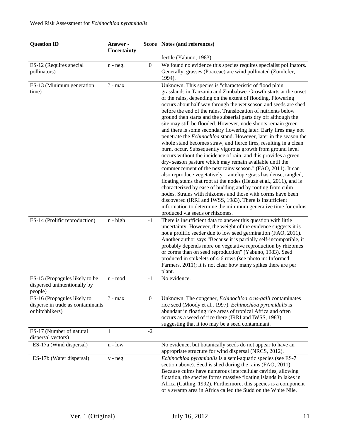| <b>Question ID</b>                                                                  | Answer -<br>Uncertainty |                  | Score Notes (and references)                                                                                                                                                                                                                                                                                                                                                                                                                                                                                                                                                                                                                                                                                                                                                                                                                                                                                                                                                                                                                                                                                                                                                                                                                                                                                                                                                    |
|-------------------------------------------------------------------------------------|-------------------------|------------------|---------------------------------------------------------------------------------------------------------------------------------------------------------------------------------------------------------------------------------------------------------------------------------------------------------------------------------------------------------------------------------------------------------------------------------------------------------------------------------------------------------------------------------------------------------------------------------------------------------------------------------------------------------------------------------------------------------------------------------------------------------------------------------------------------------------------------------------------------------------------------------------------------------------------------------------------------------------------------------------------------------------------------------------------------------------------------------------------------------------------------------------------------------------------------------------------------------------------------------------------------------------------------------------------------------------------------------------------------------------------------------|
|                                                                                     |                         |                  | fertile (Yabuno, 1983).                                                                                                                                                                                                                                                                                                                                                                                                                                                                                                                                                                                                                                                                                                                                                                                                                                                                                                                                                                                                                                                                                                                                                                                                                                                                                                                                                         |
| ES-12 (Requires special<br>pollinators)                                             | n - negl                | $\boldsymbol{0}$ | We found no evidence this species requires specialist pollinators.<br>Generally, grasses (Poaceae) are wind pollinated (Zomlefer,<br>1994).                                                                                                                                                                                                                                                                                                                                                                                                                                                                                                                                                                                                                                                                                                                                                                                                                                                                                                                                                                                                                                                                                                                                                                                                                                     |
| ES-13 (Minimum generation<br>time)                                                  | $? - max$               |                  | Unknown. This species is "characteristic of flood plain<br>grasslands in Tanzania and Zimbabwe. Growth starts at the onset<br>of the rains, depending on the extent of flooding. Flowering<br>occurs about half way through the wet season and seeds are shed<br>before the end of the rains. Translocation of nutrients below<br>ground then starts and the subaerial parts dry off although the<br>site may still be flooded. However, node shoots remain green<br>and there is some secondary flowering later. Early fires may not<br>penetrate the Echinochloa stand. However, later in the season the<br>whole stand becomes straw, and fierce fires, resulting in a clean<br>burn, occur. Subsequently vigorous growth from ground level<br>occurs without the incidence of rain, and this provides a green<br>dry-season pasture which may remain available until the<br>commencement of the next rainy season." (FAO, 2011). It can<br>also reproduce vegetatively—antelope grass has dense, tangled,<br>floating stems that root at the nodes (Heuzé et al., 2011), and is<br>characterized by ease of budding and by rooting from culm<br>nodes. Strains with rhizomes and those with corms have been<br>discovered (IRRI and IWSS, 1983). There is insufficient<br>information to determine the minimum generative time for culms<br>produced via seeds or rhizomes. |
| ES-14 (Prolific reproduction)                                                       | $n - high$              | $-1$             | There is insufficient data to answer this question with little<br>uncertainty. However, the weight of the evidence suggests it is<br>not a prolific seeder due to low seed germination (FAO, 2011).<br>Another author says "Because it is partially self-incompatible, it<br>probably depends more on vegetative reproduction by rhizomes<br>or corms than on seed reproduction" (Yabuno, 1983). Seed<br>produced in spikelets of 4-6 rows (see photo in: Informed<br>Farmers, 2011); it is not clear how many spikes there are per<br>plant.                                                                                                                                                                                                                                                                                                                                                                                                                                                                                                                                                                                                                                                                                                                                                                                                                                   |
| ES-15 (Propagules likely to be<br>dispersed unintentionally by<br>people)           | n - mod                 | $-1$             | No evidence.                                                                                                                                                                                                                                                                                                                                                                                                                                                                                                                                                                                                                                                                                                                                                                                                                                                                                                                                                                                                                                                                                                                                                                                                                                                                                                                                                                    |
| ES-16 (Propagules likely to<br>disperse in trade as contaminants<br>or hitchhikers) | $? - max$               | $\boldsymbol{0}$ | Unknown. The congener, Echinochloa crus-galli contaminates<br>rice seed (Moody et al., 1997). Echinochloa pyramidalis is<br>abundant in floating rice areas of tropical Africa and often<br>occurs as a weed of rice there (IRRI and IWSS, 1983),<br>suggesting that it too may be a seed contaminant.                                                                                                                                                                                                                                                                                                                                                                                                                                                                                                                                                                                                                                                                                                                                                                                                                                                                                                                                                                                                                                                                          |
| ES-17 (Number of natural<br>dispersal vectors)                                      | 1                       | $-2$             |                                                                                                                                                                                                                                                                                                                                                                                                                                                                                                                                                                                                                                                                                                                                                                                                                                                                                                                                                                                                                                                                                                                                                                                                                                                                                                                                                                                 |
| ES-17a (Wind dispersal)                                                             | $n - low$               |                  | No evidence, but botanically seeds do not appear to have an<br>appropriate structure for wind dispersal (NRCS, 2012).                                                                                                                                                                                                                                                                                                                                                                                                                                                                                                                                                                                                                                                                                                                                                                                                                                                                                                                                                                                                                                                                                                                                                                                                                                                           |
| ES-17b (Water dispersal)                                                            | y - negl                |                  | Echinochloa pyramidalis is a semi-aquatic species (see ES-7<br>section above). Seed is shed during the rains (FAO, 2011).<br>Because culms have numerous intercellular cavities, allowing<br>flotation, the species forms massive floating islands in lakes in<br>Africa (Catling, 1992). Furthermore, this species is a component<br>of a swamp area in Africa called the Sudd on the White Nile.                                                                                                                                                                                                                                                                                                                                                                                                                                                                                                                                                                                                                                                                                                                                                                                                                                                                                                                                                                              |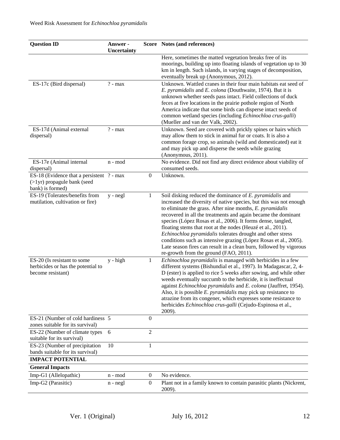| <b>Question ID</b>                                                                              | Answer -<br>Uncertainty |                  | Score Notes (and references)                                                                                                                                                                                                                                                                                                                                                                                                                                                                                                                                                                                                                  |
|-------------------------------------------------------------------------------------------------|-------------------------|------------------|-----------------------------------------------------------------------------------------------------------------------------------------------------------------------------------------------------------------------------------------------------------------------------------------------------------------------------------------------------------------------------------------------------------------------------------------------------------------------------------------------------------------------------------------------------------------------------------------------------------------------------------------------|
|                                                                                                 |                         |                  | Here, sometimes the matted vegetation breaks free of its<br>moorings, building up into floating islands of vegetation up to 30<br>km in length. Such islands, in varying stages of decomposition,<br>eventually break up (Anonymous, 2012).                                                                                                                                                                                                                                                                                                                                                                                                   |
| ES-17c (Bird dispersal)                                                                         | $? - max$               |                  | Unknown. Wattled cranes in their four main habitats eat seed of<br>E. pyramidalis and E. colona (Douthwaite, 1974). But it is<br>unknown whether seeds pass intact. Field collections of duck<br>feces at five locations in the prairie pothole region of North<br>America indicate that some birds can disperse intact seeds of<br>common wetland species (including Echinochloa crus-galli)<br>(Mueller and van der Valk, 2002).                                                                                                                                                                                                            |
| ES-17d (Animal external<br>dispersal)                                                           | $? - max$               |                  | Unknown. Seed are covered with prickly spines or hairs which<br>may allow them to stick in animal fur or coats. It is also a<br>common forage crop, so animals (wild and domesticated) eat it<br>and may pick up and disperse the seeds while grazing<br>(Anonymous, 2011).                                                                                                                                                                                                                                                                                                                                                                   |
| ES-17e (Animal internal<br>dispersal)                                                           | n - mod                 |                  | No evidence. Did not find any direct evidence about viability of<br>consumed seeds.                                                                                                                                                                                                                                                                                                                                                                                                                                                                                                                                                           |
| ES-18 (Evidence that a persistent ? - max<br>$($ >lyr) propagule bank (seed<br>bank) is formed) |                         | $\boldsymbol{0}$ | Unknown.                                                                                                                                                                                                                                                                                                                                                                                                                                                                                                                                                                                                                                      |
| ES-19 (Tolerates/benefits from<br>mutilation, cultivation or fire)                              | y - negl                | $\mathbf{1}$     | Soil disking reduced the dominance of E. pyramidalis and<br>increased the diversity of native species, but this was not enough<br>to eliminate the grass. After nine months, E. pyramidalis<br>recovered in all the treatments and again became the dominant<br>species (López Rosas et al., 2006). It forms dense, tangled,<br>floating stems that root at the nodes (Heuzé et al., 2011).<br>Echinochloa pyramidalis tolerates drought and other stress<br>conditions such as intensive grazing (López Rosas et al., 2005).<br>Late season fires can result in a clean burn, followed by vigorous<br>re-growth from the ground (FAO, 2011). |
| ES-20 (Is resistant to some<br>herbicides or has the potential to<br>become resistant)          | y - high                | 1                | Echinochloa pyramidalis is managed with herbicides in a few<br>different systems (Bishundial et al., 1997). In Madagascar, 2, 4-<br>D (ester) is applied to rice 5 weeks after sowing, and while other<br>weeds eventually succumb to the herbicide, it is ineffectual<br>against Echinochloa pyramidalis and E. colona (Jauffret, 1954).<br>Also, it is possible <i>E. pyramidalis</i> may pick up resistance to<br>atrazine from its congener, which expresses some resistance to<br>herbicides Echinochloa crus-galli (Cejudo-Espinosa et al.,<br>2009).                                                                                   |
| ES-21 (Number of cold hardiness 5<br>zones suitable for its survival)                           |                         | $\mathbf{0}$     |                                                                                                                                                                                                                                                                                                                                                                                                                                                                                                                                                                                                                                               |
| ES-22 (Number of climate types<br>suitable for its survival)                                    | 6                       | $\overline{2}$   |                                                                                                                                                                                                                                                                                                                                                                                                                                                                                                                                                                                                                                               |
| ES-23 (Number of precipitation<br>bands suitable for its survival)<br><b>IMPACT POTENTIAL</b>   | 10                      | $\mathbf{1}$     |                                                                                                                                                                                                                                                                                                                                                                                                                                                                                                                                                                                                                                               |
| <b>General Impacts</b>                                                                          |                         |                  |                                                                                                                                                                                                                                                                                                                                                                                                                                                                                                                                                                                                                                               |
| Imp-G1 (Allelopathic)                                                                           | n - mod                 | $\boldsymbol{0}$ | No evidence.                                                                                                                                                                                                                                                                                                                                                                                                                                                                                                                                                                                                                                  |
| Imp-G2 (Parasitic)                                                                              | $n - negl$              | $\boldsymbol{0}$ | Plant not in a family known to contain parasitic plants (Nickrent,<br>2009).                                                                                                                                                                                                                                                                                                                                                                                                                                                                                                                                                                  |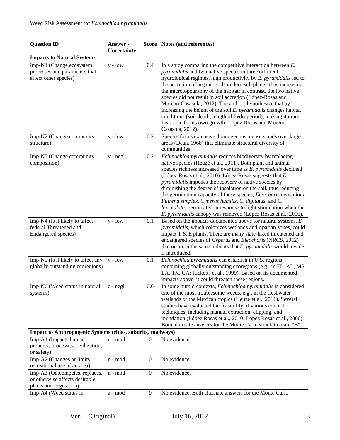| <b>Question ID</b>                                                                         | Answer -<br>Uncertainty |                  | Score Notes (and references)                                                                                                                                                                                                                                                                                                                                                                                                                                                                                                                                                                                                                                                          |  |
|--------------------------------------------------------------------------------------------|-------------------------|------------------|---------------------------------------------------------------------------------------------------------------------------------------------------------------------------------------------------------------------------------------------------------------------------------------------------------------------------------------------------------------------------------------------------------------------------------------------------------------------------------------------------------------------------------------------------------------------------------------------------------------------------------------------------------------------------------------|--|
| <b>Impacts to Natural Systems</b>                                                          |                         |                  |                                                                                                                                                                                                                                                                                                                                                                                                                                                                                                                                                                                                                                                                                       |  |
| Imp-N1 (Change ecosystem<br>processes and parameters that<br>affect other species)         | $y - low$               | 0.4              | In a study comparing the competitive interaction between $E$ .<br><i>pyramidalis</i> and two native species in three different<br>hydrological regimes, high productivity by E. pyramidalis led to<br>the accretion of organic soils underneath plants, thus increasing<br>the microtopography of the habitat; in contrast, the two native<br>species did not result in soil accretion (López-Rosas and<br>Moreno-Casasola, 2012). The authors hypothesize that by<br>increasing the height of the soil E. pyramidalis changes habitat<br>conditions (soil depth, length of hydroperiod), making it more<br>favorable for its own growth (López-Rosas and Moreno-<br>Casasola, 2012). |  |
| Imp-N2 (Change community<br>structure)                                                     | $y - low$               | 0.2              | Species forms extensive, homogenous, dense stands over large<br>areas (Dean, 1968) that eliminate structural diversity of<br>communities.                                                                                                                                                                                                                                                                                                                                                                                                                                                                                                                                             |  |
| Imp-N3 (Change community<br>composition)                                                   | $y - negl$              | 0.2              | Echinochloa pyramidalis reduces biodiversity by replacing<br>native species (Heuzé et al., 2011). Both plant and animal<br>species richness increased over time as E. pyramidalis declined<br>(López Rosas et al., 2010). López-Rosas suggests that E.<br>pyramidalis impedes the recovery of native species by<br>diminishing the degree of insolation on the soil, thus reducing<br>the germination capacity of these species; Eleocharis geniculata,<br>Fuirena simplex, Cyperus humilis, C. digitatus, and C.<br>lanceolata, germinated in response to light stimulation when the<br>E. pyramidalis canopy was removed (López Rosas et al., 2006).                                |  |
| Imp-N4 (Is it likely to affect<br>federal Threatened and<br>Endangered species)            | $y - low$               | 0.1              | Based on the impacts documented above for natural systems, E.<br>pyramidalis, which colonizes wetlands and riparian zones, could<br>impact $T$ & $E$ plants. There are many state-listed threatened and<br>endangered species of Cyperus and Eleocharis (NRCS, 2012)<br>that occur in the same habitats that $E$ . <i>pyramidalis</i> would invade<br>if introduced.                                                                                                                                                                                                                                                                                                                  |  |
| Imp-N5 (Is it likely to affect any<br>globally outstanding ecoregions)                     | $y - low$               | 0.1              | Echinochloa pyramidalis can establish in U.S. regions<br>containing globally outstanding ecoregions (e.g., in FL, AL, MS,<br>LA, TX, CA; Ricketts et al., 1999). Based on its documented<br>impacts above, it could threaten these regions.                                                                                                                                                                                                                                                                                                                                                                                                                                           |  |
| Imp-N6 (Weed status in natural<br>systems)                                                 | c - negl                | 0.6              | In some humid contexts, Echinochloa pyramidalis is considered<br>one of the most troublesome weeds, e.g., in the freshwater<br>wetlands of the Mexican tropics (Heuzé et al., 2011). Several<br>studies have evaluated the feasibility of various control<br>techniques, including manual extraction, clipping, and<br>inundation (López Rosas et al., 2010; López Rosas et al., 2006).<br>Both alternate answers for the Monte Carlo simulation are "B".                                                                                                                                                                                                                             |  |
| Impact to Anthropogenic Systems (cities, suburbs, roadways)                                |                         |                  |                                                                                                                                                                                                                                                                                                                                                                                                                                                                                                                                                                                                                                                                                       |  |
| Imp-A1 (Impacts human<br>property, processes, civilization,<br>or safety)                  | n - mod                 | $\theta$         | No evidence.                                                                                                                                                                                                                                                                                                                                                                                                                                                                                                                                                                                                                                                                          |  |
| Imp-A2 (Changes or limits<br>recreational use of an area)                                  | n - mod                 | $\mathbf{0}$     | No evidence.                                                                                                                                                                                                                                                                                                                                                                                                                                                                                                                                                                                                                                                                          |  |
| Imp-A3 (Outcompetes, replaces,<br>or otherwise affects desirable<br>plants and vegetation) | n - mod                 | $\boldsymbol{0}$ | No evidence.                                                                                                                                                                                                                                                                                                                                                                                                                                                                                                                                                                                                                                                                          |  |
| Imp-A4 (Weed status in                                                                     | a - mod                 | $\boldsymbol{0}$ | No evidence. Both alternate answers for the Monte Carlo                                                                                                                                                                                                                                                                                                                                                                                                                                                                                                                                                                                                                               |  |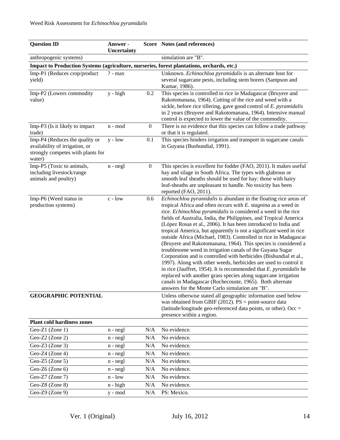| <b>Question ID</b>                                                                                              | Answer -<br>Uncertainty |                  | Score Notes (and references)                                                                                                                                                                                                                                                                                                                                                                                                                                                                                                                                                                                                                                                                                                                                                                                                                                                                                                                                                                                                       |
|-----------------------------------------------------------------------------------------------------------------|-------------------------|------------------|------------------------------------------------------------------------------------------------------------------------------------------------------------------------------------------------------------------------------------------------------------------------------------------------------------------------------------------------------------------------------------------------------------------------------------------------------------------------------------------------------------------------------------------------------------------------------------------------------------------------------------------------------------------------------------------------------------------------------------------------------------------------------------------------------------------------------------------------------------------------------------------------------------------------------------------------------------------------------------------------------------------------------------|
| anthropogenic systems)                                                                                          |                         |                  | simulation are "B".                                                                                                                                                                                                                                                                                                                                                                                                                                                                                                                                                                                                                                                                                                                                                                                                                                                                                                                                                                                                                |
|                                                                                                                 |                         |                  | Impact to Production Systems (agriculture, nurseries, forest plantations, orchards, etc.)                                                                                                                                                                                                                                                                                                                                                                                                                                                                                                                                                                                                                                                                                                                                                                                                                                                                                                                                          |
| Imp-P1 (Reduces crop/product<br>yield)                                                                          | $? - max$               |                  | Unknown. Echinochloa pyramidalis is an alternate host for<br>several sugarcane pests, including stem borers (Sampson and<br>Kumar, 1986).                                                                                                                                                                                                                                                                                                                                                                                                                                                                                                                                                                                                                                                                                                                                                                                                                                                                                          |
| Imp-P2 (Lowers commodity<br>value)                                                                              | y - high                | 0.2              | This species is controlled in rice in Madagascar (Bruyere and<br>Rakotomanana, 1964). Cutting of the rice and weed with a<br>sickle, before rice tillering, gave good control of E. pyramidalis<br>in 2 years (Bruyere and Rakotomanana, 1964). Intensive manual<br>control is expected to lower the value of the commodity.                                                                                                                                                                                                                                                                                                                                                                                                                                                                                                                                                                                                                                                                                                       |
| Imp-P3 (Is it likely to impact<br>trade)                                                                        | n - mod                 | $\boldsymbol{0}$ | There is no evidence that this species can follow a trade pathway<br>or that it is regulated.                                                                                                                                                                                                                                                                                                                                                                                                                                                                                                                                                                                                                                                                                                                                                                                                                                                                                                                                      |
| Imp-P4 (Reduces the quality or<br>availability of irrigation, or<br>strongly competes with plants for<br>water) | $y - low$               | 0.1              | This species hinders irrigation and transport in sugarcane canals<br>in Guyana (Bushundial, 1991).                                                                                                                                                                                                                                                                                                                                                                                                                                                                                                                                                                                                                                                                                                                                                                                                                                                                                                                                 |
| Imp-P5 (Toxic to animals,<br>including livestock/range<br>animals and poultry)                                  | $n - negl$              | $\boldsymbol{0}$ | This species is excellent for fodder (FAO, 2011). It makes useful<br>hay and silage in South Africa. The types with glabrous or<br>smooth leaf sheaths should be used for hay: those with hairy<br>leaf-sheaths are unpleasant to handle. No toxicity has been<br>reported (FAO, 2011).                                                                                                                                                                                                                                                                                                                                                                                                                                                                                                                                                                                                                                                                                                                                            |
| Imp-P6 (Weed status in<br>production systems)                                                                   | c - low                 | 0.6              | Echinochloa pyramidalis is abundant in the floating rice areas of<br>tropical Africa and often occurs with $E$ . stagnina as a weed in<br>rice. Echinochloa pyramidalis is considered a weed in the rice<br>fields of Australia, India, the Philippines, and Tropical America<br>(López Rosas et al., 2006). It has been introduced to India and<br>tropical America, but apparently is not a significant weed in rice<br>outside Africa (Michael, 1983). Controlled in rice in Madagascar<br>(Bruyere and Rakotomanana, 1964). This species is considered a<br>troublesome weed in irrigation canals of the Guyana Sugar<br>Corporation and is controlled with herbicides (Bishundial et al.,<br>1997). Along with other weeds, herbicides are used to control it<br>in rice (Jauffret, 1954). It is recommended that $E$ . <i>pyramidalis</i> be<br>replaced with another grass species along sugarcane irrigation<br>canals in Madagascar (Rochecouste, 1965). Both alternate<br>answers for the Monte Carlo simulation are "B" |
| <b>GEOGRAPHIC POTENTIAL</b>                                                                                     |                         |                  | Unless otherwise stated all geographic information used below<br>was obtained from GBIF (2012). $PS = point$ -source data<br>(latitude/longitude geo-referenced data points, or other). Occ =<br>presence within a region.                                                                                                                                                                                                                                                                                                                                                                                                                                                                                                                                                                                                                                                                                                                                                                                                         |
| <b>Plant cold hardiness zones</b>                                                                               |                         |                  |                                                                                                                                                                                                                                                                                                                                                                                                                                                                                                                                                                                                                                                                                                                                                                                                                                                                                                                                                                                                                                    |
| Geo-Z1 (Zone 1)                                                                                                 | $n - negl$              | N/A              | No evidence.                                                                                                                                                                                                                                                                                                                                                                                                                                                                                                                                                                                                                                                                                                                                                                                                                                                                                                                                                                                                                       |
| Geo-Z2 (Zone 2)                                                                                                 | $n - negl$              | N/A              | No evidence.                                                                                                                                                                                                                                                                                                                                                                                                                                                                                                                                                                                                                                                                                                                                                                                                                                                                                                                                                                                                                       |
| Geo-Z3 (Zone 3)                                                                                                 | $n - negl$              | N/A              | No evidence.                                                                                                                                                                                                                                                                                                                                                                                                                                                                                                                                                                                                                                                                                                                                                                                                                                                                                                                                                                                                                       |
| Geo-Z4 (Zone 4)                                                                                                 | $n - negl$              | N/A              | No evidence.                                                                                                                                                                                                                                                                                                                                                                                                                                                                                                                                                                                                                                                                                                                                                                                                                                                                                                                                                                                                                       |
| Geo-Z5 $(Zone 5)$                                                                                               | $n - negl$              | N/A              | No evidence.                                                                                                                                                                                                                                                                                                                                                                                                                                                                                                                                                                                                                                                                                                                                                                                                                                                                                                                                                                                                                       |
| Geo-Z6 (Zone 6)                                                                                                 | $n - negl$              | N/A              | No evidence.                                                                                                                                                                                                                                                                                                                                                                                                                                                                                                                                                                                                                                                                                                                                                                                                                                                                                                                                                                                                                       |
| Geo-Z7 (Zone 7)                                                                                                 | $n - low$               | N/A              | No evidence.                                                                                                                                                                                                                                                                                                                                                                                                                                                                                                                                                                                                                                                                                                                                                                                                                                                                                                                                                                                                                       |
| Geo-Z8 (Zone 8)                                                                                                 | $n - high$              | N/A              | No evidence.                                                                                                                                                                                                                                                                                                                                                                                                                                                                                                                                                                                                                                                                                                                                                                                                                                                                                                                                                                                                                       |
| Geo-Z9 (Zone 9)                                                                                                 | y - mod                 | N/A              | PS: Mexico.                                                                                                                                                                                                                                                                                                                                                                                                                                                                                                                                                                                                                                                                                                                                                                                                                                                                                                                                                                                                                        |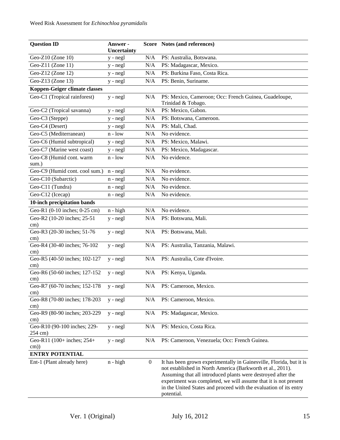| <b>Question ID</b>                   | Answer -    |                  | Score Notes (and references)                                                                                                                                                                                                                                                                                                                            |
|--------------------------------------|-------------|------------------|---------------------------------------------------------------------------------------------------------------------------------------------------------------------------------------------------------------------------------------------------------------------------------------------------------------------------------------------------------|
|                                      | Uncertainty |                  |                                                                                                                                                                                                                                                                                                                                                         |
| Geo-Z10 (Zone 10)                    | y - negl    | N/A              | PS: Australia, Botswana.                                                                                                                                                                                                                                                                                                                                |
| Geo-Z11 (Zone 11)                    | y - negl    | N/A              | PS: Madagascar, Mexico.                                                                                                                                                                                                                                                                                                                                 |
| Geo-Z12 (Zone 12)                    | y - negl    | N/A              | PS: Burkina Faso, Costa Rica.                                                                                                                                                                                                                                                                                                                           |
| Geo-Z13 (Zone 13)                    | $y - negl$  | N/A              | PS: Benin, Suriname.                                                                                                                                                                                                                                                                                                                                    |
| Koppen-Geiger climate classes        |             |                  |                                                                                                                                                                                                                                                                                                                                                         |
| Geo-C1 (Tropical rainforest)         | $y - negl$  | N/A              | PS: Mexico, Cameroon; Occ: French Guinea, Guadeloupe,                                                                                                                                                                                                                                                                                                   |
|                                      |             |                  | Trinidad & Tobago.                                                                                                                                                                                                                                                                                                                                      |
| Geo-C2 (Tropical savanna)            | y - negl    | N/A              | PS: Mexico, Gabon.                                                                                                                                                                                                                                                                                                                                      |
| Geo-C3 (Steppe)                      | y - negl    | N/A              | PS: Botswana, Cameroon.                                                                                                                                                                                                                                                                                                                                 |
| Geo-C4 (Desert)                      | y - negl    | N/A              | PS: Mali, Chad.                                                                                                                                                                                                                                                                                                                                         |
| Geo-C5 (Mediterranean)               | $n - low$   | N/A              | No evidence.                                                                                                                                                                                                                                                                                                                                            |
| Geo-C6 (Humid subtropical)           | $y - negl$  | N/A              | PS: Mexico, Malawi.                                                                                                                                                                                                                                                                                                                                     |
| Geo-C7 (Marine west coast)           | y - negl    | N/A              | PS: Mexico, Madagascar.                                                                                                                                                                                                                                                                                                                                 |
| Geo-C8 (Humid cont. warm<br>sum.)    | $n - low$   | N/A              | No evidence.                                                                                                                                                                                                                                                                                                                                            |
| Geo-C9 (Humid cont. cool sum.)       | $n - negl$  | N/A              | No evidence.                                                                                                                                                                                                                                                                                                                                            |
| Geo-C10 (Subarctic)                  | $n - negl$  | N/A              | No evidence.                                                                                                                                                                                                                                                                                                                                            |
| Geo-C11 (Tundra)                     | $n - negl$  | N/A              | No evidence.                                                                                                                                                                                                                                                                                                                                            |
| Geo-C12 (Icecap)                     | $n - negl$  | N/A              | No evidence.                                                                                                                                                                                                                                                                                                                                            |
| 10-inch precipitation bands          |             |                  |                                                                                                                                                                                                                                                                                                                                                         |
| Geo-R1 (0-10 inches; 0-25 cm)        | $n - high$  | N/A              | No evidence.                                                                                                                                                                                                                                                                                                                                            |
| Geo-R2 (10-20 inches; 25-51          | $y - negl$  | N/A              | PS: Botswana, Mali.                                                                                                                                                                                                                                                                                                                                     |
| cm)                                  |             |                  |                                                                                                                                                                                                                                                                                                                                                         |
| Geo-R3 (20-30 inches; 51-76          | $y - negl$  | N/A              | PS: Botswana, Mali.                                                                                                                                                                                                                                                                                                                                     |
| $\text{cm}$ )                        |             |                  |                                                                                                                                                                                                                                                                                                                                                         |
| Geo-R4 (30-40 inches; 76-102<br>cm)  | $y - negl$  | N/A              | PS: Australia, Tanzania, Malawi.                                                                                                                                                                                                                                                                                                                        |
| Geo-R5 (40-50 inches; 102-127        | $y - negl$  | N/A              | PS: Australia, Cote d'Ivoire.                                                                                                                                                                                                                                                                                                                           |
| cm)                                  |             |                  |                                                                                                                                                                                                                                                                                                                                                         |
| Geo-R6 (50-60 inches; 127-152        | $y - negl$  | N/A              | PS: Kenya, Uganda.                                                                                                                                                                                                                                                                                                                                      |
| cm)                                  |             |                  |                                                                                                                                                                                                                                                                                                                                                         |
| Geo-R7 (60-70 inches; 152-178        | y - negl    | N/A              | PS: Cameroon, Mexico.                                                                                                                                                                                                                                                                                                                                   |
| cm)                                  |             |                  |                                                                                                                                                                                                                                                                                                                                                         |
| Geo-R8 (70-80 inches; 178-203        | y - negl    | N/A              | PS: Cameroon, Mexico.                                                                                                                                                                                                                                                                                                                                   |
| cm)<br>Geo-R9 (80-90 inches; 203-229 | $y - negl$  | N/A              | PS: Madagascar, Mexico.                                                                                                                                                                                                                                                                                                                                 |
| cm)                                  |             |                  |                                                                                                                                                                                                                                                                                                                                                         |
| Geo-R10 (90-100 inches; 229-         | $y - negl$  | N/A              | PS: Mexico, Costa Rica.                                                                                                                                                                                                                                                                                                                                 |
| 254 cm)                              |             |                  |                                                                                                                                                                                                                                                                                                                                                         |
| Geo-R11 (100+ inches; 254+           | $y - negl$  | N/A              | PS: Cameroon, Venezuela; Occ: French Guinea.                                                                                                                                                                                                                                                                                                            |
| $\text{cm}$ )                        |             |                  |                                                                                                                                                                                                                                                                                                                                                         |
| <b>ENTRY POTENTIAL</b>               |             |                  |                                                                                                                                                                                                                                                                                                                                                         |
| Ent-1 (Plant already here)           | $n - high$  | $\boldsymbol{0}$ | It has been grown experimentally in Gainesville, Florida, but it is<br>not established in North America (Barkworth et al., 2011).<br>Assuming that all introduced plants were destroyed after the<br>experiment was completed, we will assume that it is not present<br>in the United States and proceed with the evaluation of its entry<br>potential. |